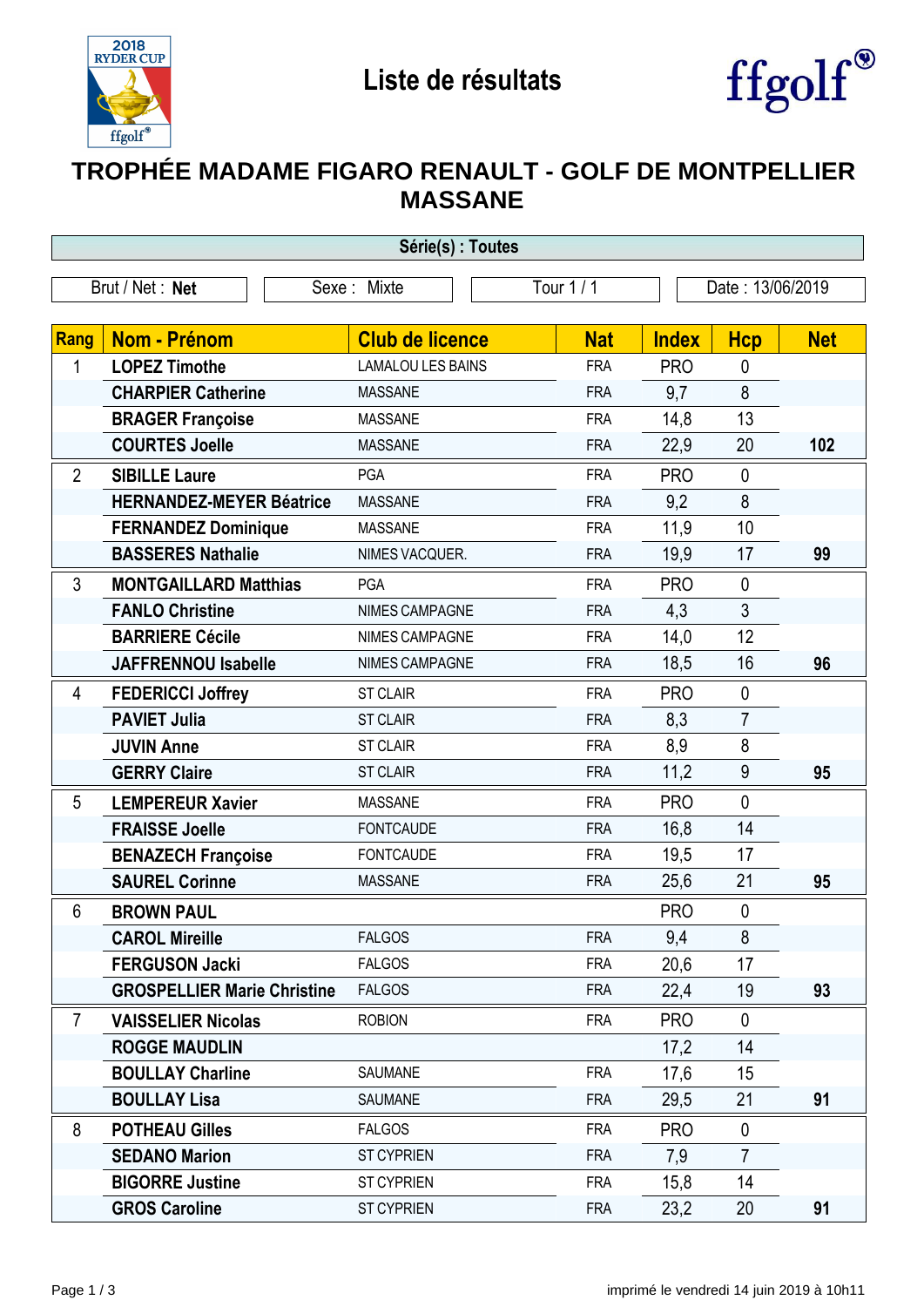



## **TROPHÉE MADAME FIGARO RENAULT - GOLF DE MONTPELLIER MASSANE**

| Série(s) : Toutes |                                                         |                                    |                          |                   |                               |            |  |
|-------------------|---------------------------------------------------------|------------------------------------|--------------------------|-------------------|-------------------------------|------------|--|
|                   | Brut / Net: Net                                         | Sexe: Mixte                        | Tour 1 / 1               | Date: 13/06/2019  |                               |            |  |
|                   | <b>Nom - Prénom</b>                                     | <b>Club de licence</b>             | <b>Nat</b>               | <b>Index</b>      |                               | <b>Net</b> |  |
| Rang<br>1         | <b>LOPEZ Timothe</b>                                    | <b>LAMALOU LES BAINS</b>           | <b>FRA</b>               | <b>PRO</b>        | <b>Hcp</b><br>$\mathbf 0$     |            |  |
|                   | <b>CHARPIER Catherine</b>                               | <b>MASSANE</b>                     | <b>FRA</b>               | 9,7               | 8                             |            |  |
|                   | <b>BRAGER Françoise</b>                                 | <b>MASSANE</b>                     | <b>FRA</b>               | 14,8              | 13                            |            |  |
|                   | <b>COURTES Joelle</b>                                   | <b>MASSANE</b>                     | <b>FRA</b>               | 22,9              | 20                            | 102        |  |
| $\overline{2}$    |                                                         | PGA                                | <b>FRA</b>               | <b>PRO</b>        | $\mathbf 0$                   |            |  |
|                   | <b>SIBILLE Laure</b><br><b>HERNANDEZ-MEYER Béatrice</b> | <b>MASSANE</b>                     | <b>FRA</b>               | 9,2               | 8                             |            |  |
|                   | <b>FERNANDEZ Dominique</b>                              | <b>MASSANE</b>                     | <b>FRA</b>               | 11,9              | 10                            |            |  |
|                   | <b>BASSERES Nathalie</b>                                | NIMES VACQUER.                     | <b>FRA</b>               | 19,9              | 17                            | 99         |  |
|                   |                                                         |                                    |                          |                   | $\mathbf 0$                   |            |  |
| 3                 | <b>MONTGAILLARD Matthias</b><br><b>FANLO Christine</b>  | PGA<br>NIMES CAMPAGNE              | <b>FRA</b><br><b>FRA</b> | <b>PRO</b><br>4,3 | 3                             |            |  |
|                   | <b>BARRIERE Cécile</b>                                  | NIMES CAMPAGNE                     | <b>FRA</b>               | 14,0              | 12                            |            |  |
|                   | <b>JAFFRENNOU Isabelle</b>                              | <b>NIMES CAMPAGNE</b>              | <b>FRA</b>               | 18,5              | 16                            | 96         |  |
|                   |                                                         |                                    |                          |                   |                               |            |  |
| 4                 | <b>FEDERICCI Joffrey</b><br><b>PAVIET Julia</b>         | <b>ST CLAIR</b><br><b>ST CLAIR</b> | <b>FRA</b>               | <b>PRO</b>        | $\mathbf 0$<br>$\overline{7}$ |            |  |
|                   | <b>JUVIN Anne</b>                                       | <b>ST CLAIR</b>                    | <b>FRA</b><br><b>FRA</b> | 8,3               | 8                             |            |  |
|                   | <b>GERRY Claire</b>                                     | <b>ST CLAIR</b>                    | <b>FRA</b>               | 8,9<br>11,2       | $9\,$                         | 95         |  |
|                   |                                                         |                                    |                          |                   |                               |            |  |
| 5                 | <b>LEMPEREUR Xavier</b>                                 | <b>MASSANE</b>                     | <b>FRA</b>               | <b>PRO</b>        | $\mathbf 0$                   |            |  |
|                   | <b>FRAISSE Joelle</b>                                   | <b>FONTCAUDE</b>                   | <b>FRA</b>               | 16,8              | 14                            |            |  |
|                   | <b>BENAZECH Françoise</b>                               | <b>FONTCAUDE</b>                   | <b>FRA</b>               | 19,5              | 17                            |            |  |
|                   | <b>SAUREL Corinne</b>                                   | <b>MASSANE</b>                     | <b>FRA</b>               | 25,6              | 21                            | 95         |  |
| 6                 | <b>BROWN PAUL</b>                                       |                                    |                          | <b>PRO</b>        | $\mathbf 0$                   |            |  |
|                   | <b>CAROL Mireille</b>                                   | <b>FALGOS</b>                      | <b>FRA</b>               | 9,4               | 8                             |            |  |
|                   | <b>FERGUSON Jacki</b>                                   | <b>FALGOS</b>                      | <b>FRA</b>               | 20,6              | 17                            |            |  |
|                   | <b>GROSPELLIER Marie Christine</b>                      | <b>FALGOS</b>                      | <b>FRA</b>               | 22,4              | 19                            | 93         |  |
| 7                 | <b>VAISSELIER Nicolas</b>                               | <b>ROBION</b>                      | <b>FRA</b>               | <b>PRO</b>        | $\mathbf{0}$                  |            |  |
|                   | <b>ROGGE MAUDLIN</b>                                    |                                    |                          | 17,2              | 14                            |            |  |
|                   | <b>BOULLAY Charline</b>                                 | SAUMANE                            | <b>FRA</b>               | 17,6              | 15                            |            |  |
|                   | <b>BOULLAY Lisa</b>                                     | SAUMANE                            | <b>FRA</b>               | 29,5              | 21                            | 91         |  |
| 8                 | <b>POTHEAU Gilles</b>                                   | <b>FALGOS</b>                      | <b>FRA</b>               | <b>PRO</b>        | $\mathbf 0$                   |            |  |
|                   | <b>SEDANO Marion</b>                                    | <b>ST CYPRIEN</b>                  | <b>FRA</b>               | 7,9               | $\overline{7}$                |            |  |
|                   | <b>BIGORRE Justine</b>                                  | <b>ST CYPRIEN</b>                  | <b>FRA</b>               | 15,8              | 14                            |            |  |
|                   | <b>GROS Caroline</b>                                    | <b>ST CYPRIEN</b>                  | <b>FRA</b>               | 23,2              | 20                            | 91         |  |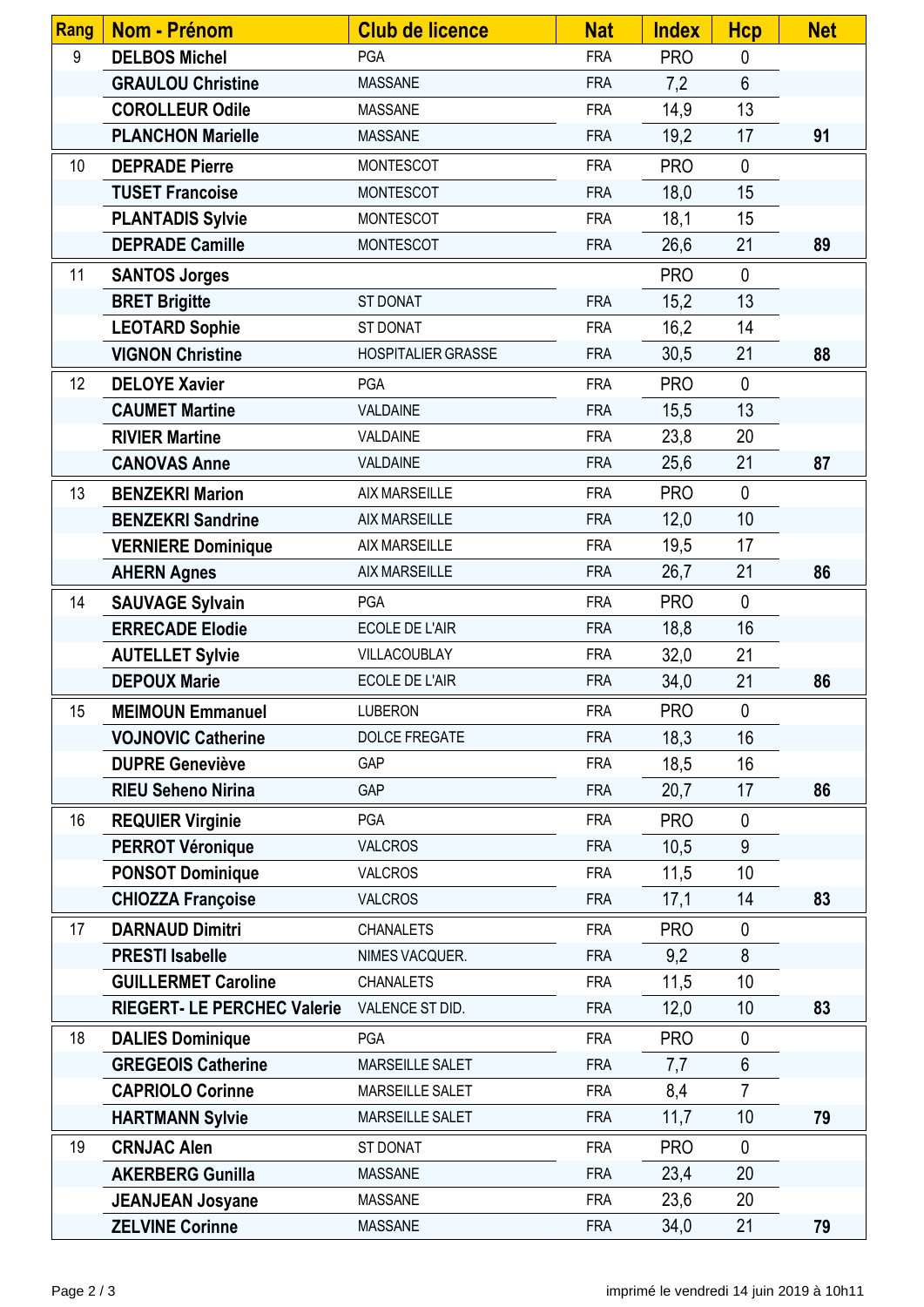| Rang | <b>Nom - Prénom</b>                | <b>Club de licence</b>    | <b>Nat</b> | <b>Index</b> | <b>Hcp</b>     | <b>Net</b> |
|------|------------------------------------|---------------------------|------------|--------------|----------------|------------|
| 9    | <b>DELBOS Michel</b>               | <b>PGA</b>                | <b>FRA</b> | <b>PRO</b>   | $\mathbf 0$    |            |
|      | <b>GRAULOU Christine</b>           | <b>MASSANE</b>            | <b>FRA</b> | 7,2          | $6\phantom{a}$ |            |
|      | <b>COROLLEUR Odile</b>             | <b>MASSANE</b>            | <b>FRA</b> | 14,9         | 13             |            |
|      | <b>PLANCHON Marielle</b>           | <b>MASSANE</b>            | <b>FRA</b> | 19,2         | 17             | 91         |
| 10   | <b>DEPRADE Pierre</b>              | <b>MONTESCOT</b>          | <b>FRA</b> | <b>PRO</b>   | $\mathbf 0$    |            |
|      | <b>TUSET Francoise</b>             | <b>MONTESCOT</b>          | <b>FRA</b> | 18,0         | 15             |            |
|      | <b>PLANTADIS Sylvie</b>            | <b>MONTESCOT</b>          | <b>FRA</b> | 18,1         | 15             |            |
|      | <b>DEPRADE Camille</b>             | <b>MONTESCOT</b>          | <b>FRA</b> | 26,6         | 21             | 89         |
| 11   | <b>SANTOS Jorges</b>               |                           |            | <b>PRO</b>   | $\mathbf 0$    |            |
|      | <b>BRET Brigitte</b>               | <b>ST DONAT</b>           | <b>FRA</b> | 15,2         | 13             |            |
|      | <b>LEOTARD Sophie</b>              | ST DONAT                  | <b>FRA</b> | 16,2         | 14             |            |
|      | <b>VIGNON Christine</b>            | <b>HOSPITALIER GRASSE</b> | <b>FRA</b> | 30,5         | 21             | 88         |
| 12   | <b>DELOYE Xavier</b>               | <b>PGA</b>                | <b>FRA</b> | <b>PRO</b>   | $\mathbf 0$    |            |
|      | <b>CAUMET Martine</b>              | VALDAINE                  | <b>FRA</b> | 15,5         | 13             |            |
|      | <b>RIVIER Martine</b>              | VALDAINE                  | <b>FRA</b> | 23,8         | 20             |            |
|      | <b>CANOVAS Anne</b>                | <b>VALDAINE</b>           | <b>FRA</b> | 25,6         | 21             | 87         |
| 13   | <b>BENZEKRI Marion</b>             | AIX MARSEILLE             | <b>FRA</b> | <b>PRO</b>   | $\mathbf 0$    |            |
|      | <b>BENZEKRI Sandrine</b>           | <b>AIX MARSEILLE</b>      | <b>FRA</b> | 12,0         | 10             |            |
|      | <b>VERNIERE Dominique</b>          | <b>AIX MARSEILLE</b>      | <b>FRA</b> | 19,5         | 17             |            |
|      | <b>AHERN Agnes</b>                 | <b>AIX MARSEILLE</b>      | <b>FRA</b> | 26,7         | 21             | 86         |
| 14   | <b>SAUVAGE Sylvain</b>             | <b>PGA</b>                | <b>FRA</b> | <b>PRO</b>   | $\mathbf 0$    |            |
|      | <b>ERRECADE Elodie</b>             | <b>ECOLE DE L'AIR</b>     | <b>FRA</b> | 18,8         | 16             |            |
|      | <b>AUTELLET Sylvie</b>             | VILLACOUBLAY              | <b>FRA</b> | 32,0         | 21             |            |
|      | <b>DEPOUX Marie</b>                | <b>ECOLE DE L'AIR</b>     | <b>FRA</b> | 34,0         | 21             | 86         |
| 15   | <b>MEIMOUN Emmanuel</b>            | <b>LUBERON</b>            | <b>FRA</b> | <b>PRO</b>   | $\mathbf 0$    |            |
|      | <b>VOJNOVIC Catherine</b>          | DOLCE FREGATE             | <b>FRA</b> | 18,3         | 16             |            |
|      | <b>DUPRE Geneviève</b>             | GAP                       | <b>FRA</b> | 18,5         | 16             |            |
|      | <b>RIEU Seheno Nirina</b>          | GAP                       | <b>FRA</b> | 20,7         | 17             | 86         |
| 16   | <b>REQUIER Virginie</b>            | PGA                       | <b>FRA</b> | <b>PRO</b>   | $\mathbf 0$    |            |
|      | <b>PERROT Véronique</b>            | <b>VALCROS</b>            | <b>FRA</b> | 10,5         | 9              |            |
|      | <b>PONSOT Dominique</b>            | <b>VALCROS</b>            | <b>FRA</b> | 11,5         | 10             |            |
|      | <b>CHIOZZA Françoise</b>           | <b>VALCROS</b>            | <b>FRA</b> | 17,1         | 14             | 83         |
| 17   | <b>DARNAUD Dimitri</b>             | <b>CHANALETS</b>          | <b>FRA</b> | <b>PRO</b>   | $\mathbf 0$    |            |
|      | <b>PRESTI Isabelle</b>             | NIMES VACQUER.            | <b>FRA</b> | 9,2          | 8              |            |
|      | <b>GUILLERMET Caroline</b>         | <b>CHANALETS</b>          | <b>FRA</b> | 11,5         | 10             |            |
|      | <b>RIEGERT- LE PERCHEC Valerie</b> | VALENCE ST DID.           | <b>FRA</b> | 12,0         | 10             | 83         |
| 18   | <b>DALIES Dominique</b>            | <b>PGA</b>                | <b>FRA</b> | <b>PRO</b>   | $\mathbf 0$    |            |
|      | <b>GREGEOIS Catherine</b>          | <b>MARSEILLE SALET</b>    | <b>FRA</b> | 7,7          | $6\phantom{a}$ |            |
|      | <b>CAPRIOLO Corinne</b>            | MARSEILLE SALET           | <b>FRA</b> | 8,4          | $\overline{7}$ |            |
|      | <b>HARTMANN Sylvie</b>             | MARSEILLE SALET           | <b>FRA</b> | 11,7         | 10             | 79         |
| 19   | <b>CRNJAC Alen</b>                 | ST DONAT                  | <b>FRA</b> | <b>PRO</b>   | $\mathbf{0}$   |            |
|      | <b>AKERBERG Gunilla</b>            | <b>MASSANE</b>            | <b>FRA</b> | 23,4         | 20             |            |
|      | <b>JEANJEAN Josyane</b>            | <b>MASSANE</b>            | <b>FRA</b> | 23,6         | 20             |            |
|      | <b>ZELVINE Corinne</b>             | <b>MASSANE</b>            | <b>FRA</b> | 34,0         | 21             | 79         |